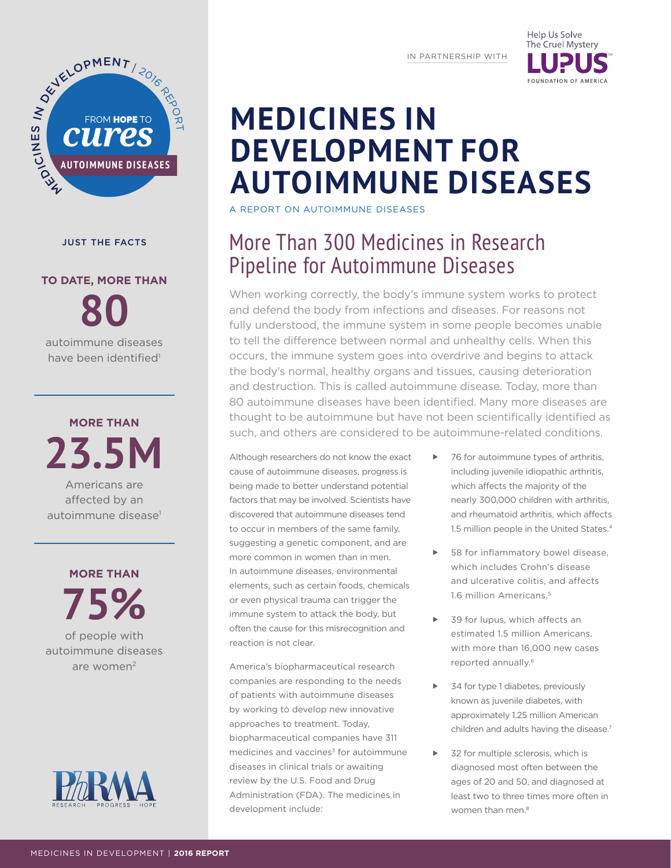IN PARTNERSHIP WITH

Help Us Solve The Cruel Mystery



#### JUST THE FACTS

# **TO DATE, MORE THAN**

**80** autoimmune diseases have been identified<sup>1</sup>

**MORE THAN 23.5M** 

Americans are affected by an autoimmune disease<sup>1</sup>

**MORE THAN 75%**  of people with autoimmune diseases are women2



**MEDICINES IN DEVELOPMENT FOR AUTOIMMUNE DISEASES**

A REPORT ON AUTOIMMUNE DISEASES

## More Than 300 Medicines in Research Pipeline for Autoimmune Diseases

When working correctly, the body's immune system works to protect and defend the body from infections and diseases. For reasons not fully understood, the immune system in some people becomes unable to tell the difference between normal and unhealthy cells. When this occurs, the immune system goes into overdrive and begins to attack the body's normal, healthy organs and tissues, causing deterioration and destruction. This is called autoimmune disease. Today, more than 80 autoimmune diseases have been identified. Many more diseases are thought to be autoimmune but have not been scientifically identified as such, and others are considered to be autoimmune-related conditions.

Although researchers do not know the exact cause of autoimmune diseases, progress is being made to better understand potential factors that may be involved. Scientists have discovered that autoimmune diseases tend to occur in members of the same family, suggesting a genetic component, and are more common in women than in men. In autoimmune diseases, environmental elements, such as certain foods, chemicals or even physical trauma can trigger the immune system to attack the body, but often the cause for this misrecognition and reaction is not clear.

America's biopharmaceutical research companies are responding to the needs of patients with autoimmune diseases by working to develop new innovative approaches to treatment. Today, biopharmaceutical companies have 311 medicines and vaccines<sup>3</sup> for autoimmune diseases in clinical trials or awaiting review by the U.S. Food and Drug Administration (FDA). The medicines in development include:

- ▶ 76 for autoimmune types of arthritis, including juvenile idiopathic arthritis, which affects the majority of the nearly 300,000 children with arthritis, and rheumatoid arthritis, which affects 1.5 million people in the United States.<sup>4</sup>
- 58 for inflammatory bowel disease, which includes Crohn's disease and ulcerative colitis, and affects 1.6 million Americans.5
- 39 for lupus, which affects an estimated 1.5 million Americans, with more than 16,000 new cases reported annually.<sup>6</sup>
- 34 for type 1 diabetes, previously known as juvenile diabetes, with approximately 1.25 million American children and adults having the disease.<sup>7</sup>
- 32 for multiple sclerosis, which is diagnosed most often between the ages of 20 and 50, and diagnosed at least two to three times more often in women than men.<sup>8</sup>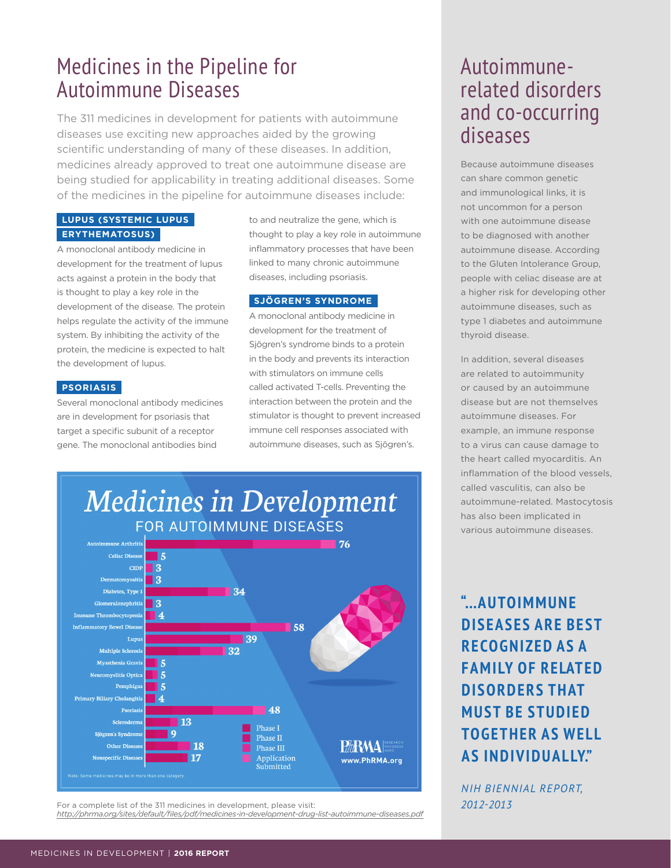## Medicines in the Pipeline for Autoimmune Diseases

The 311 medicines in development for patients with autoimmune diseases use exciting new approaches aided by the growing scientific understanding of many of these diseases. In addition, medicines already approved to treat one autoimmune disease are being studied for applicability in treating additional diseases. Some of the medicines in the pipeline for autoimmune diseases include:

#### **LUPUS (SYSTEMIC LUPUS ERYTHEMATOSUS)**

A monoclonal antibody medicine in development for the treatment of lupus acts against a protein in the body that is thought to play a key role in the development of the disease. The protein helps regulate the activity of the immune system. By inhibiting the activity of the protein, the medicine is expected to halt the development of lupus.

#### **PSORIASIS**

Several monoclonal antibody medicines are in development for psoriasis that target a specific subunit of a receptor gene. The monoclonal antibodies bind

to and neutralize the gene, which is thought to play a key role in autoimmune inflammatory processes that have been linked to many chronic autoimmune diseases, including psoriasis.

#### **SJÖGREN'S SYNDROME**

A monoclonal antibody medicine in development for the treatment of Sjögren's syndrome binds to a protein in the body and prevents its interaction with stimulators on immune cells called activated T-cells. Preventing the interaction between the protein and the stimulator is thought to prevent increased immune cell responses associated with autoimmune diseases, such as Sjögren's.



*<http://phrma.org/sites/default/files/pdf/medicines-in-development-drug-list-autoimmune-diseases.pdf>*

Phase I

Phase II

Phase  $\rm III$ 

Application

submitted

**HARMA** PROGRES

www.PhRMA.org

### Autoimmunerelated disorders and co-occurring diseases

Because autoimmune diseases can share common genetic and immunological links, it is not uncommon for a person with one autoimmune disease to be diagnosed with another autoimmune disease. According to the Gluten Intolerance Group, people with celiac disease are at a higher risk for developing other autoimmune diseases, such as type 1 diabetes and autoimmune thyroid disease.

In addition, several diseases are related to autoimmunity or caused by an autoimmune disease but are not themselves autoimmune diseases. For example, an immune response to a virus can cause damage to the heart called myocarditis. An inflammation of the blood vessels, called vasculitis, can also be autoimmune-related. Mastocytosis has also been implicated in various autoimmune diseases.

### **"…AUTOIMMUNE DISEASES ARE BEST RECOGNIZED AS A FAMILY OF RELATED DISORDERS THAT MUST BE STUDIED TOGETHER AS WELL AS INDIVIDUALLY."**

*NIH BIENNIAL REPORT,*  For a complete list of the 311 medicines in development, please visit: *2012-2013* 

Scleroderma

Sjögren's Syndro

Nonspecific Dise

Other Dis

**13** 

18

17

 $\mathbf{q}$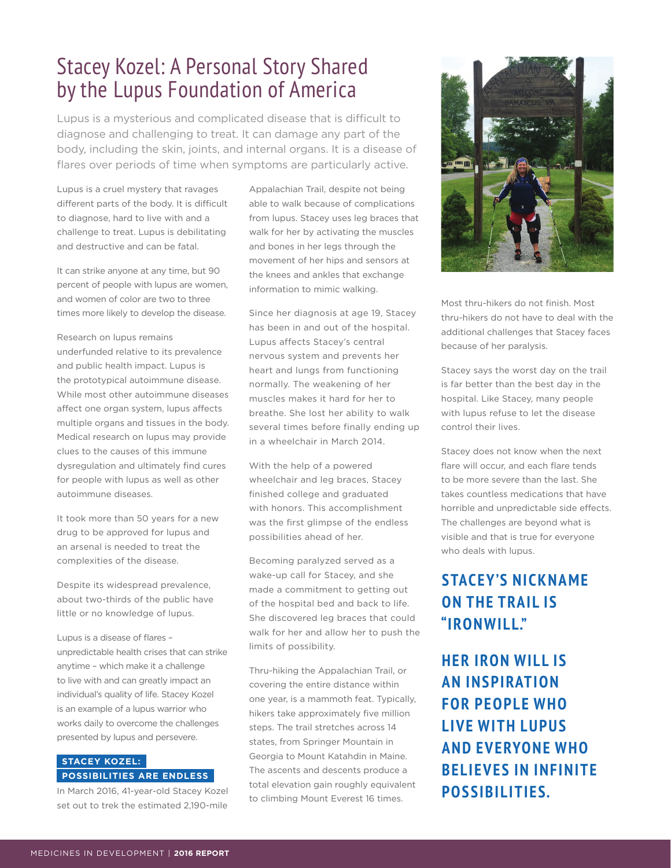## Stacey Kozel: A Personal Story Shared by the Lupus Foundation of America

Lupus is a mysterious and complicated disease that is difficult to diagnose and challenging to treat. It can damage any part of the body, including the skin, joints, and internal organs. It is a disease of flares over periods of time when symptoms are particularly active.

Lupus is a cruel mystery that ravages different parts of the body. It is difficult to diagnose, hard to live with and a challenge to treat. Lupus is debilitating and destructive and can be fatal.

It can strike anyone at any time, but 90 percent of people with lupus are women, and women of color are two to three times more likely to develop the disease.

Research on lupus remains underfunded relative to its prevalence and public health impact. Lupus is the prototypical autoimmune disease. While most other autoimmune diseases affect one organ system, lupus affects multiple organs and tissues in the body. Medical research on lupus may provide clues to the causes of this immune dysregulation and ultimately find cures for people with lupus as well as other autoimmune diseases.

It took more than 50 years for a new drug to be approved for lupus and an arsenal is needed to treat the complexities of the disease.

Despite its widespread prevalence, about two-thirds of the public have little or no knowledge of lupus.

Lupus is a disease of flares – unpredictable health crises that can strike anytime – which make it a challenge to live with and can greatly impact an individual's quality of life. Stacey Kozel is an example of a lupus warrior who works daily to overcome the challenges presented by lupus and persevere.

#### **STACEY KOZEL: POSSIBILITIES ARE ENDLESS**

In March 2016, 41-year-old Stacey Kozel set out to trek the estimated 2,190-mile

Appalachian Trail, despite not being able to walk because of complications from lupus. Stacey uses leg braces that walk for her by activating the muscles and bones in her legs through the movement of her hips and sensors at the knees and ankles that exchange information to mimic walking.

Since her diagnosis at age 19, Stacey has been in and out of the hospital. Lupus affects Stacey's central nervous system and prevents her heart and lungs from functioning normally. The weakening of her muscles makes it hard for her to breathe. She lost her ability to walk several times before finally ending up in a wheelchair in March 2014.

With the help of a powered wheelchair and leg braces, Stacey finished college and graduated with honors. This accomplishment was the first glimpse of the endless possibilities ahead of her.

Becoming paralyzed served as a wake-up call for Stacey, and she made a commitment to getting out of the hospital bed and back to life. She discovered leg braces that could walk for her and allow her to push the limits of possibility.

Thru-hiking the Appalachian Trail, or covering the entire distance within one year, is a mammoth feat. Typically, hikers take approximately five million steps. The trail stretches across 14 states, from Springer Mountain in Georgia to Mount Katahdin in Maine. The ascents and descents produce a total elevation gain roughly equivalent to climbing Mount Everest 16 times.



Most thru-hikers do not finish. Most thru-hikers do not have to deal with the additional challenges that Stacey faces because of her paralysis.

Stacey says the worst day on the trail is far better than the best day in the hospital. Like Stacey, many people with lupus refuse to let the disease control their lives.

Stacey does not know when the next flare will occur, and each flare tends to be more severe than the last. She takes countless medications that have horrible and unpredictable side effects. The challenges are beyond what is visible and that is true for everyone who deals with lupus.

### **STACEY'S NICKNAME ON THE TRAIL IS "IRONWILL."**

**HER IRON WILL IS AN INSPIRATION FOR PEOPLE WHO LIVE WITH LUPUS AND EVERYONE WHO BELIEVES IN INFINITE POSSIBILITIES.**